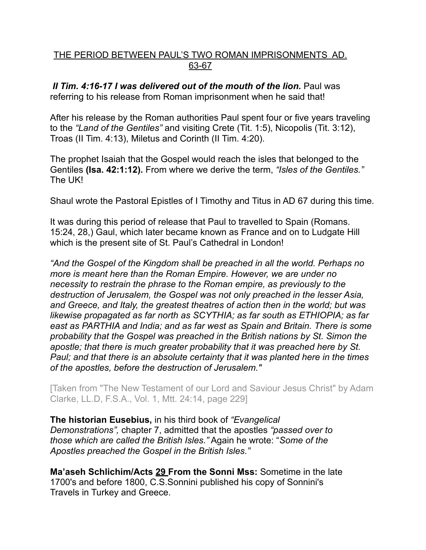## THE PERIOD BETWEEN PAUL'S TWO ROMAN IMPRISONMENTS AD. 63-67

*II Tim. 4:16-17 I was delivered out of the mouth of the lion. Paul was* referring to his release from Roman imprisonment when he said that!

After his release by the Roman authorities Paul spent four or five years traveling to the *"Land of the Gentiles"* and visiting Crete (Tit. 1:5), Nicopolis (Tit. 3:12), Troas (II Tim. 4:13), Miletus and Corinth (II Tim. 4:20).

The prophet Isaiah that the Gospel would reach the isles that belonged to the Gentiles **(Isa. 42:1:12).** From where we derive the term, *"Isles of the Gentiles."* The UK!

Shaul wrote the Pastoral Epistles of I Timothy and Titus in AD 67 during this time.

It was during this period of release that Paul to travelled to Spain (Romans. 15:24, 28,) Gaul, which later became known as France and on to Ludgate Hill which is the present site of St. Paul's Cathedral in London!

*"And the Gospel of the Kingdom shall be preached in all the world. Perhaps no more is meant here than the Roman Empire. However, we are under no necessity to restrain the phrase to the Roman empire, as previously to the destruction of Jerusalem, the Gospel was not only preached in the lesser Asia, and Greece, and Italy, the greatest theatres of action then in the world; but was likewise propagated as far north as SCYTHIA; as far south as ETHIOPIA; as far east as PARTHIA and India; and as far west as Spain and Britain. There is some probability that the Gospel was preached in the British nations by St. Simon the apostle; that there is much greater probability that it was preached here by St. Paul; and that there is an absolute certainty that it was planted here in the times of the apostles, before the destruction of Jerusalem."* 

[Taken from "The New Testament of our Lord and Saviour Jesus Christ" by Adam Clarke, LL.D, F.S.A., Vol. 1, Mtt. 24:14, page 229]

**The historian Eusebius,** in his third book of *"Evangelical Demonstrations",* chapter 7, admitted that the apostles *"passed over to those which are called the British Isles."* Again he wrote: "*Some of the Apostles preached the Gospel in the British Isles."* 

**Ma'aseh Schlichim/Acts 29 From the Sonni Mss:** Sometime in the late 1700's and before 1800, C.S.Sonnini published his copy of Sonnini's Travels in Turkey and Greece.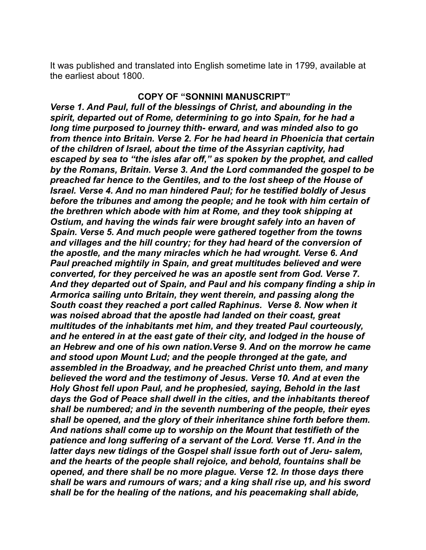It was published and translated into English sometime late in 1799, available at the earliest about 1800.

## **COPY OF "SONNINI MANUSCRIPT"**

*Verse 1. And Paul, full of the blessings of Christ, and abounding in the spirit, departed out of Rome, determining to go into Spain, for he had a long time purposed to journey thith- erward, and was minded also to go from thence into Britain. Verse 2. For he had heard in Phoenicia that certain of the children of Israel, about the time of the Assyrian captivity, had escaped by sea to "the isles afar off," as spoken by the prophet, and called by the Romans, Britain. Verse 3. And the Lord commanded the gospel to be preached far hence to the Gentiles, and to the lost sheep of the House of Israel. Verse 4. And no man hindered Paul; for he testified boldly of Jesus before the tribunes and among the people; and he took with him certain of the brethren which abode with him at Rome, and they took shipping at Ostium, and having the winds fair were brought safely into an haven of Spain. Verse 5. And much people were gathered together from the towns and villages and the hill country; for they had heard of the conversion of the apostle, and the many miracles which he had wrought. Verse 6. And Paul preached mightily in Spain, and great multitudes believed and were converted, for they perceived he was an apostle sent from God. Verse 7. And they departed out of Spain, and Paul and his company finding a ship in Armorica sailing unto Britain, they went therein, and passing along the South coast they reached a port called Raphinus. Verse 8. Now when it was noised abroad that the apostle had landed on their coast, great multitudes of the inhabitants met him, and they treated Paul courteously, and he entered in at the east gate of their city, and lodged in the house of an Hebrew and one of his own nation.Verse 9. And on the morrow he came and stood upon Mount Lud; and the people thronged at the gate, and assembled in the Broadway, and he preached Christ unto them, and many believed the word and the testimony of Jesus. Verse 10. And at even the Holy Ghost fell upon Paul, and he prophesied, saying, Behold in the last days the God of Peace shall dwell in the cities, and the inhabitants thereof shall be numbered; and in the seventh numbering of the people, their eyes shall be opened, and the glory of their inheritance shine forth before them. And nations shall come up to worship on the Mount that testifieth of the patience and long suffering of a servant of the Lord. Verse 11. And in the latter days new tidings of the Gospel shall issue forth out of Jeru- salem, and the hearts of the people shall rejoice, and behold, fountains shall be opened, and there shall be no more plague. Verse 12. In those days there shall be wars and rumours of wars; and a king shall rise up, and his sword shall be for the healing of the nations, and his peacemaking shall abide,*